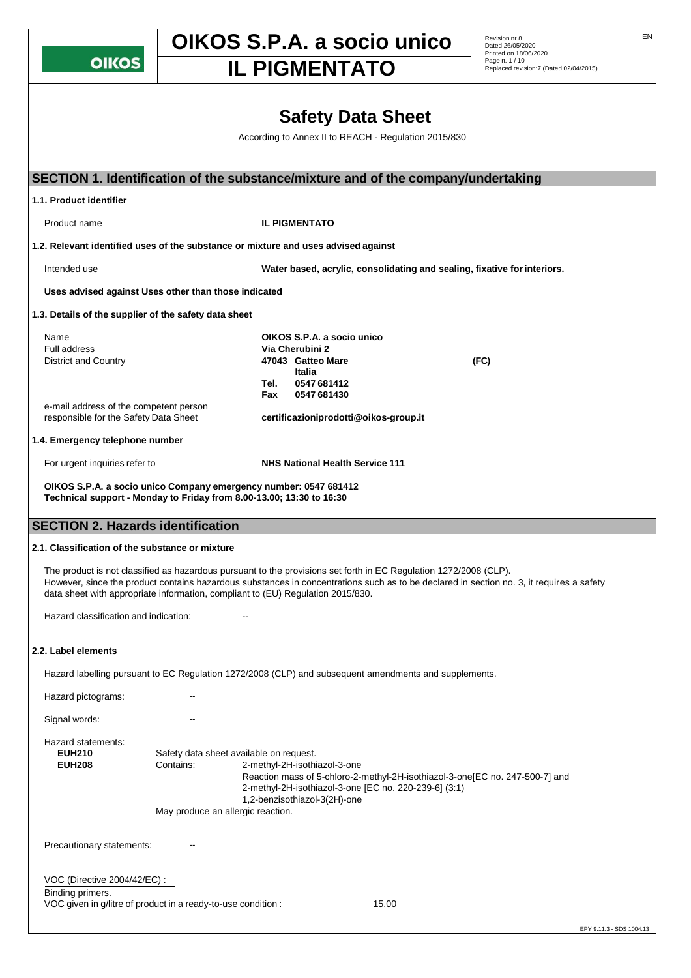**OIKOS** 

## **OIKOS S.P.A. a socio unico** Revision nr.8

**IL PIGMENTATO** 

Revision nr.8<br>Dated 26/05/2020 Printed on 18/06/2020 Page n. 1 / 10<br>Replaced revision:7 (Dated 02/04/2015)

## **Safety Data Sheet** According to Annex II to REACH - Regulation 2015/830 **SECTION 1. Identification of the substance/mixture and of the company/undertaking 1.1. Product identifier** Product name **IL PIGMENTATO 1.2. Relevant identified uses of the substance or mixture and uses advised against** Intended use **Water based, acrylic, consolidating and sealing, fixative forinteriors. Uses advised against Uses other than those indicated 1.3. Details of the supplier of the safety data sheet** Name **OIKOS S.P.A. a socio unico Via Cherubini 2** District and Country **47043 Gatteo Mare (FC) Italia Tel. 0547 681412 Fax 0547 681430** e-mail address of the competent person<br>responsible for the Safety Data Sheet responsible for the Safety Data Sheet **[certificazioniprodotti@oikos-group.it](mailto:certificazioniprodotti@oikos-group.it) 1.4. Emergency telephone number** For urgent inquiries refer to **NHS National Health Service 111 OIKOS S.P.A. a socio unico Company emergency number: 0547 681412 Technical support - Monday to Friday from 8.00-13.00; 13:30 to 16:30 SECTION 2. Hazards identification 2.1. Classification of the substance or mixture** The product is not classified as hazardous pursuant to the provisions set forth in EC Regulation 1272/2008 (CLP). However, since the product contains hazardous substances in concentrations such as to be declared in section no. 3, it requires a safety data sheet with appropriate information, compliant to (EU) Regulation 2015/830. Hazard classification and indication: **2.2. Label elements** Hazard labelling pursuant to EC Regulation 1272/2008 (CLP) and subsequent amendments and supplements. Hazard pictograms: Signal words: The Contract of the Signal words: Hazard statements: **EUH210** Safety data sheet available on request. **EUH208** Contains: 2-methyl-2H-isothiazol-3-one Reaction mass of 5-chloro-2-methyl-2H-isothiazol-3-one[EC no. 247-500-7] and 2-methyl-2H-isothiazol-3-one [EC no. 220-239-6] (3:1) 1,2-benzisothiazol-3(2H)-one May produce an allergic reaction. Precautionary statements: --VOC (Directive 2004/42/EC) : Binding primers. VOC given in g/litre of product in a ready-to-use condition : 15,00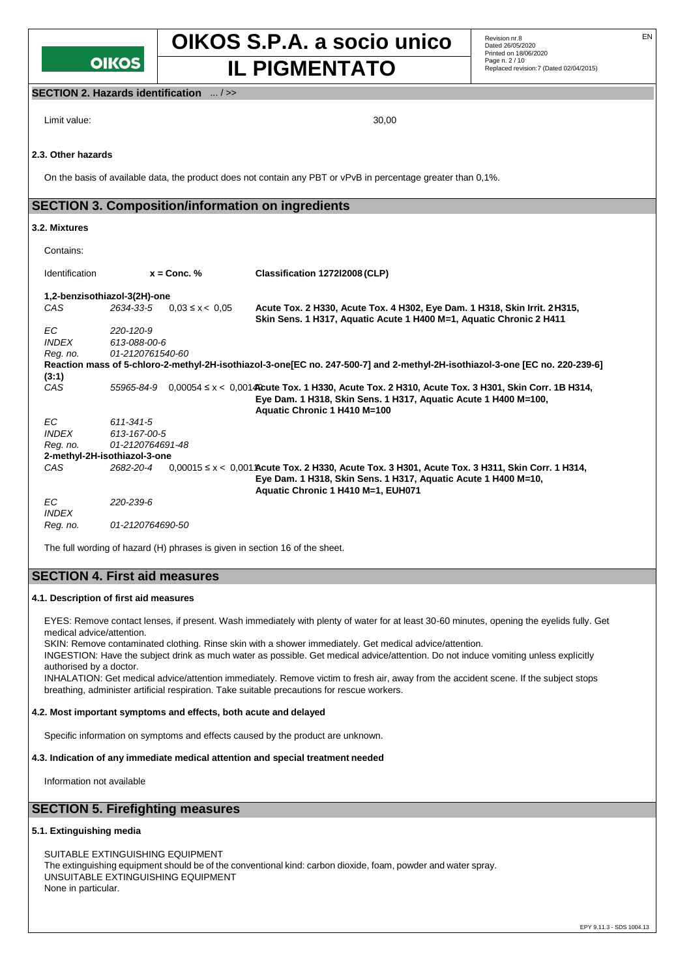## **OIKOS**

## **OIKOS S.P.A. a socio unico** Revision nr.8 **IL PIGMENTATO** Replaced revision:7 (Dated 02/04/2015)

#### **SECTION 2. Hazards identification** ... / >>

Limit value: 30,00

#### **2.3. Other hazards**

On the basis of available data, the product does not contain any PBT or vPvB in percentage greater than 0,1%.

#### **SECTION 3. Composition/information on ingredients**

#### **3.2. Mixtures**

| Contains:                    |                  |                     |                                                                                                                                                                                                           |  |  |
|------------------------------|------------------|---------------------|-----------------------------------------------------------------------------------------------------------------------------------------------------------------------------------------------------------|--|--|
| Identification               | $x =$ Conc. %    |                     | Classification 1272l2008 (CLP)                                                                                                                                                                            |  |  |
| 1,2-benzisothiazol-3(2H)-one |                  |                     |                                                                                                                                                                                                           |  |  |
| CAS                          | 2634-33-5        | $0.03 \le x < 0.05$ | Acute Tox. 2 H330, Acute Tox. 4 H302, Eye Dam. 1 H318, Skin Irrit. 2 H315,<br>Skin Sens. 1 H317, Aquatic Acute 1 H400 M=1, Aquatic Chronic 2 H411                                                         |  |  |
| EC.                          | 220-120-9        |                     |                                                                                                                                                                                                           |  |  |
| <b>INDEX</b>                 | 613-088-00-6     |                     |                                                                                                                                                                                                           |  |  |
| Reg. no.                     | 01-2120761540-60 |                     |                                                                                                                                                                                                           |  |  |
|                              |                  |                     | Reaction mass of 5-chloro-2-methyl-2H-isothiazol-3-one[EC no. 247-500-7] and 2-methyl-2H-isothiazol-3-one [EC no. 220-239-6]                                                                              |  |  |
| (3:1)                        |                  |                     |                                                                                                                                                                                                           |  |  |
| CAS                          | 55965-84-9       |                     | $0,00054 \le x < 0,0014$ Cute Tox. 1 H330, Acute Tox. 2 H310, Acute Tox. 3 H301, Skin Corr. 1B H314,<br>Eye Dam. 1 H318, Skin Sens. 1 H317, Aquatic Acute 1 H400 M=100,<br>Aquatic Chronic 1 H410 M=100   |  |  |
| EC.                          | 611-341-5        |                     |                                                                                                                                                                                                           |  |  |
| <b>INDEX</b>                 | 613-167-00-5     |                     |                                                                                                                                                                                                           |  |  |
| Reg. no.                     | 01-2120764691-48 |                     |                                                                                                                                                                                                           |  |  |
| 2-methyl-2H-isothiazol-3-one |                  |                     |                                                                                                                                                                                                           |  |  |
| CAS                          | 2682-20-4        |                     | $0,00015$ ≤ x < 0,001 Acute Tox. 2 H330, Acute Tox. 3 H301, Acute Tox. 3 H311, Skin Corr. 1 H314,<br>Eye Dam. 1 H318, Skin Sens. 1 H317, Aquatic Acute 1 H400 M=10,<br>Aquatic Chronic 1 H410 M=1, EUH071 |  |  |
| EC.<br><b>INDEX</b>          | 220-239-6        |                     |                                                                                                                                                                                                           |  |  |
| Reg. no.                     | 01-2120764690-50 |                     |                                                                                                                                                                                                           |  |  |

The full wording of hazard (H) phrases is given in section 16 of the sheet.

#### **SECTION 4. First aid measures**

#### **4.1. Description of first aid measures**

EYES: Remove contact lenses, if present. Wash immediately with plenty of water for at least 30-60 minutes, opening the eyelids fully. Get medical advice/attention.

SKIN: Remove contaminated clothing. Rinse skin with a shower immediately. Get medical advice/attention.

INGESTION: Have the subject drink as much water as possible. Get medical advice/attention. Do not induce vomiting unless explicitly authorised by a doctor.

INHALATION: Get medical advice/attention immediately. Remove victim to fresh air, away from the accident scene. If the subject stops breathing, administer artificial respiration. Take suitable precautions for rescue workers.

#### **4.2. Most important symptoms and effects, both acute and delayed**

Specific information on symptoms and effects caused by the product are unknown.

#### **4.3. Indication of any immediate medical attention and special treatment needed**

Information not available

#### **SECTION 5. Firefighting measures**

#### **5.1. Extinguishing media**

SUITABLE EXTINGUISHING EQUIPMENT The extinguishing equipment should be of the conventional kind: carbon dioxide, foam, powder and water spray. UNSUITABLE EXTINGUISHING EQUIPMENT None in particular.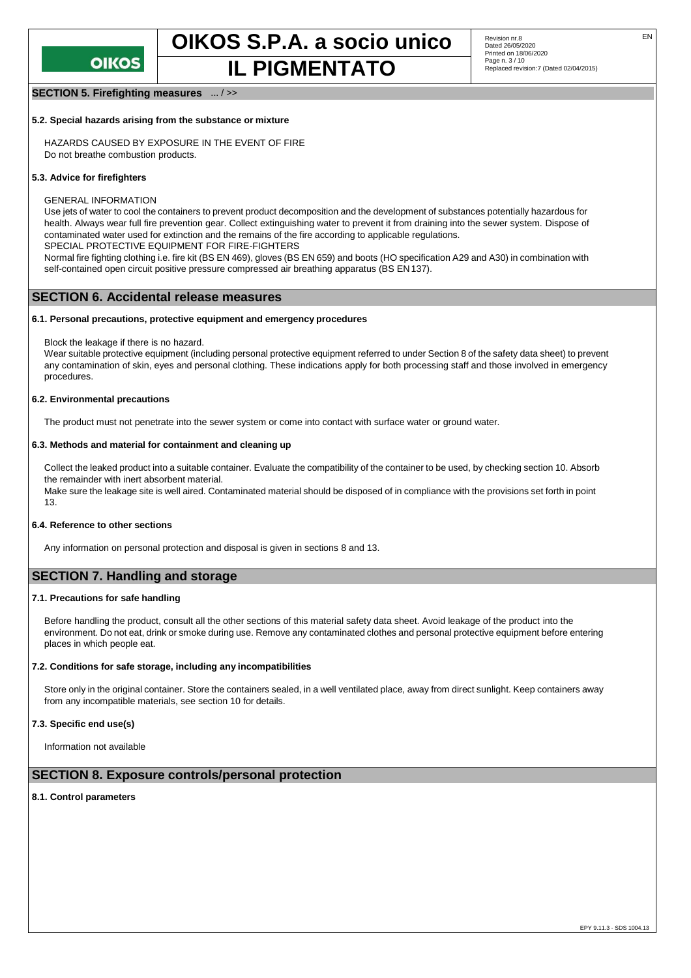

#### **SECTION 5. Firefighting measures** ... / >>

#### **5.2. Special hazards arising from the substance or mixture**

HAZARDS CAUSED BY EXPOSURE IN THE EVENT OF FIRE Do not breathe combustion products.

#### **5.3. Advice for firefighters**

GENERAL INFORMATION

Use jets of water to cool the containers to prevent product decomposition and the development of substances potentially hazardous for health. Always wear full fire prevention gear. Collect extinguishing water to prevent it from draining into the sewer system. Dispose of contaminated water used for extinction and the remains of the fire according to applicable regulations.

SPECIAL PROTECTIVE EQUIPMENT FOR FIRE-FIGHTERS

Normal fire fighting clothing i.e. fire kit (BS EN 469), gloves (BS EN 659) and boots (HO specification A29 and A30) in combination with self-contained open circuit positive pressure compressed air breathing apparatus (BS EN137).

#### **SECTION 6. Accidental release measures**

#### **6.1. Personal precautions, protective equipment and emergency procedures**

Block the leakage if there is no hazard.

Wear suitable protective equipment (including personal protective equipment referred to under Section 8 of the safety data sheet) to prevent any contamination of skin, eyes and personal clothing. These indications apply for both processing staff and those involved in emergency procedures.

#### **6.2. Environmental precautions**

The product must not penetrate into the sewer system or come into contact with surface water or ground water.

#### **6.3. Methods and material for containment and cleaning up**

Collect the leaked product into a suitable container. Evaluate the compatibility of the container to be used, by checking section 10. Absorb the remainder with inert absorbent material.

Make sure the leakage site is well aired. Contaminated material should be disposed of in compliance with the provisions set forth in point 13.

#### **6.4. Reference to other sections**

Any information on personal protection and disposal is given in sections 8 and 13.

#### **SECTION 7. Handling and storage**

#### **7.1. Precautions for safe handling**

Before handling the product, consult all the other sections of this material safety data sheet. Avoid leakage of the product into the environment. Do not eat, drink or smoke during use. Remove any contaminated clothes and personal protective equipment before entering places in which people eat.

#### **7.2. Conditions for safe storage, including any incompatibilities**

Store only in the original container. Store the containers sealed, in a well ventilated place, away from direct sunlight. Keep containers away from any incompatible materials, see section 10 for details.

#### **7.3. Specific end use(s)**

Information not available

#### **SECTION 8. Exposure controls/personal protection**

#### **8.1. Control parameters**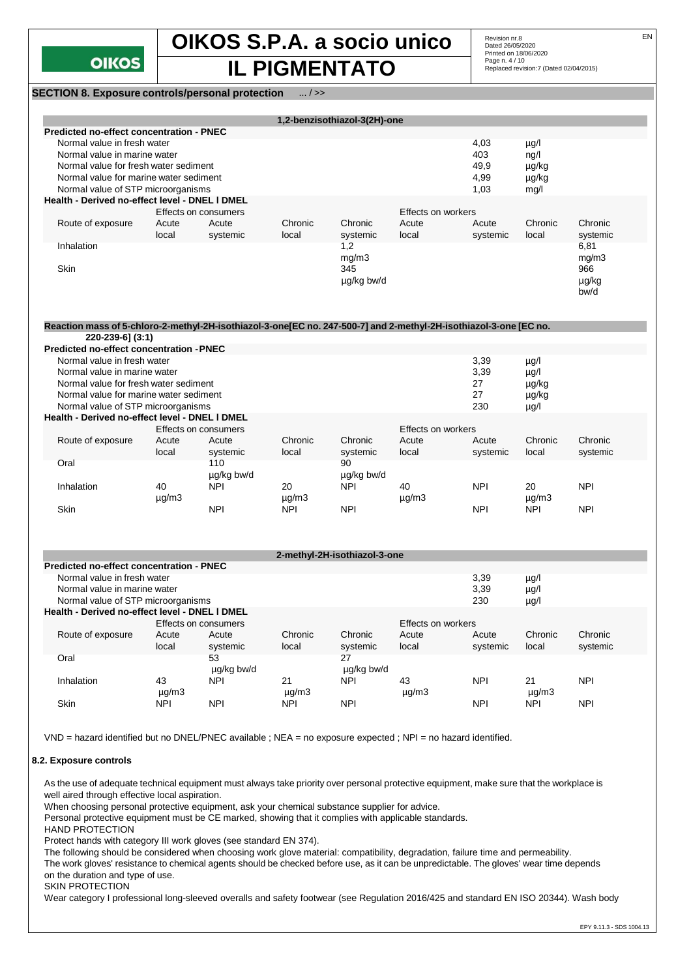

**IL PIGMENTATO** Replaced revision:7 (Dated 02/04/2015)

**SECTION 8. Exposure controls/personal protection** ... / >>

|                                                                                                                   |               |                              |               | 1,2-benzisothiazol-3(2H)-one |                    |             |               |            |
|-------------------------------------------------------------------------------------------------------------------|---------------|------------------------------|---------------|------------------------------|--------------------|-------------|---------------|------------|
| <b>Predicted no-effect concentration - PNEC</b>                                                                   |               |                              |               |                              |                    |             |               |            |
| Normal value in fresh water                                                                                       |               |                              |               |                              |                    | 4,03        | $\mu$ g/l     |            |
| Normal value in marine water                                                                                      |               |                              |               |                              |                    | 403         | nq/l          |            |
| Normal value for fresh water sediment                                                                             |               |                              |               |                              |                    | 49,9        | µg/kg         |            |
| Normal value for marine water sediment                                                                            |               |                              |               |                              |                    | 4,99        | µg/kg         |            |
| Normal value of STP microorganisms                                                                                |               |                              |               |                              |                    | 1,03        | mg/l          |            |
| Health - Derived no-effect level - DNEL I DMEL                                                                    |               |                              |               |                              |                    |             |               |            |
|                                                                                                                   |               | Effects on consumers         |               |                              | Effects on workers |             |               |            |
| Route of exposure                                                                                                 | Acute         | Acute                        | Chronic       | Chronic                      | Acute              | Acute       | Chronic       | Chronic    |
|                                                                                                                   | local         | systemic                     | local         | systemic                     | local              | systemic    | local         | systemic   |
| Inhalation                                                                                                        |               |                              |               | 1,2                          |                    |             |               | 6,81       |
|                                                                                                                   |               |                              |               | mg/m3                        |                    |             |               | mg/m3      |
|                                                                                                                   |               |                              |               |                              |                    |             |               |            |
| Skin                                                                                                              |               |                              |               | 345                          |                    |             |               | 966        |
|                                                                                                                   |               |                              |               | µg/kg bw/d                   |                    |             |               | µg/kg      |
|                                                                                                                   |               |                              |               |                              |                    |             |               | bw/d       |
|                                                                                                                   |               |                              |               |                              |                    |             |               |            |
|                                                                                                                   |               |                              |               |                              |                    |             |               |            |
| Reaction mass of 5-chloro-2-methyl-2H-isothiazol-3-one[EC no. 247-500-7] and 2-methyl-2H-isothiazol-3-one [EC no. |               |                              |               |                              |                    |             |               |            |
| 220-239-6] (3:1)                                                                                                  |               |                              |               |                              |                    |             |               |            |
| Predicted no-effect concentration - PNEC                                                                          |               |                              |               |                              |                    |             |               |            |
| Normal value in fresh water                                                                                       |               |                              |               |                              |                    | 3,39        | $\mu$ g/l     |            |
| Normal value in marine water                                                                                      |               |                              |               |                              | 3,39               | $\mu$ g/l   |               |            |
| Normal value for fresh water sediment                                                                             |               |                              |               |                              |                    | 27          | µg/kg         |            |
| Normal value for marine water sediment                                                                            |               |                              |               |                              | 27                 | µg/kg       |               |            |
|                                                                                                                   |               |                              |               |                              |                    |             |               |            |
| Normal value of STP microorganisms                                                                                |               |                              |               |                              |                    | 230         | $\mu$ g/l     |            |
| Health - Derived no-effect level - DNEL I DMEL                                                                    |               |                              |               |                              |                    |             |               |            |
|                                                                                                                   |               | Effects on consumers         |               |                              | Effects on workers |             |               |            |
| Route of exposure                                                                                                 | Acute         | Acute                        | Chronic       | Chronic                      | Acute              | Acute       | Chronic       | Chronic    |
|                                                                                                                   | local         | systemic                     | local         | systemic                     | local              | systemic    | local         | systemic   |
| Oral                                                                                                              |               | 110                          |               | 90                           |                    |             |               |            |
|                                                                                                                   |               | µg/kg bw/d                   |               | µg/kg bw/d                   |                    |             |               |            |
| Inhalation                                                                                                        | 40            | <b>NPI</b>                   | 20            | <b>NPI</b>                   | 40                 | <b>NPI</b>  | 20            | <b>NPI</b> |
|                                                                                                                   |               |                              |               |                              |                    |             |               |            |
|                                                                                                                   | $\mu$ g/m3    |                              | $\mu$ g/m $3$ |                              | $\mu$ g/m3         |             | $\mu$ g/m $3$ |            |
| Skin                                                                                                              |               | <b>NPI</b>                   | <b>NPI</b>    | <b>NPI</b>                   |                    | <b>NPI</b>  | <b>NPI</b>    | <b>NPI</b> |
|                                                                                                                   |               |                              |               |                              |                    |             |               |            |
|                                                                                                                   |               |                              |               |                              |                    |             |               |            |
|                                                                                                                   |               |                              |               | 2-methyl-2H-isothiazol-3-one |                    |             |               |            |
| <b>Predicted no-effect concentration - PNEC</b>                                                                   |               |                              |               |                              |                    |             |               |            |
|                                                                                                                   |               |                              |               |                              |                    | 3,39        | $\mu$ g/l     |            |
| Normal value in fresh water                                                                                       |               | Normal value in marine water |               |                              |                    |             | $\mu$ g/l     |            |
|                                                                                                                   |               |                              |               |                              |                    | 3,39<br>230 | $\mu$ g/l     |            |
|                                                                                                                   |               |                              |               |                              |                    |             |               |            |
| Normal value of STP microorganisms                                                                                |               |                              |               |                              |                    |             |               |            |
| Health - Derived no-effect level - DNEL I DMEL                                                                    |               |                              |               |                              |                    |             |               |            |
|                                                                                                                   |               | Effects on consumers         |               |                              | Effects on workers |             |               |            |
| Route of exposure                                                                                                 | Acute         | Acute                        | Chronic       | Chronic                      | Acute              | Acute       | Chronic       | Chronic    |
|                                                                                                                   | local         | systemic                     | local         | systemic                     | local              | systemic    | local         | systemic   |
| Oral                                                                                                              |               | 53                           |               | 27                           |                    |             |               |            |
|                                                                                                                   |               |                              |               |                              |                    |             |               |            |
|                                                                                                                   |               | µg/kg bw/d                   |               | µg/kg bw/d                   |                    |             |               |            |
| Inhalation                                                                                                        | 43            | <b>NPI</b>                   | 21            | NPI                          | 43                 | <b>NPI</b>  | 21            | <b>NPI</b> |
|                                                                                                                   | $\mu$ g/m $3$ |                              | $\mu$ g/m $3$ |                              | $\mu$ g/m3         |             | $\mu$ g/m $3$ |            |
| Skin                                                                                                              | <b>NPI</b>    | <b>NPI</b>                   | <b>NPI</b>    | <b>NPI</b>                   |                    | <b>NPI</b>  | <b>NPI</b>    | <b>NPI</b> |

VND = hazard identified but no DNEL/PNEC available ; NEA = no exposure expected ; NPI = no hazard identified.

#### **8.2. Exposure controls**

As the use of adequate technical equipment must always take priority over personal protective equipment, make sure that the workplace is well aired through effective local aspiration.

When choosing personal protective equipment, ask your chemical substance supplier for advice.

Personal protective equipment must be CE marked, showing that it complies with applicable standards.

HAND PROTECTION

Protect hands with category III work gloves (see standard EN 374).

The following should be considered when choosing work glove material: compatibility, degradation, failure time and permeability.

The work gloves' resistance to chemical agents should be checked before use, as it can be unpredictable. The gloves' wear time depends on the duration and type of use.

#### SKIN PROTECTION

Wear category I professional long-sleeved overalls and safety footwear (see Regulation 2016/425 and standard EN ISO 20344). Wash body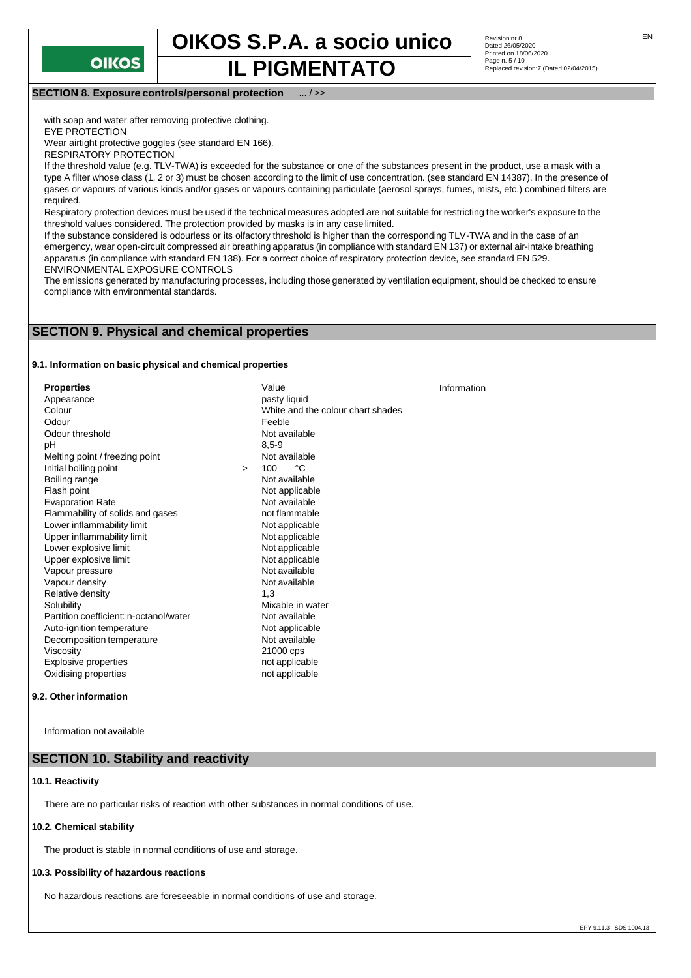

**IL PIGMENTATO** 

Revision nr.8<br>Dated 26/05/2020 Printed on 18/06/2020 Page n. 5 / 10<br>Replaced revision:7 (Dated 02/04/2015)

#### **SECTION 8. Exposure controls/personal protection** ... / >>

with soap and water after removing protective clothing.

EYE PROTECTION

Wear airtight protective goggles (see standard EN 166).

RESPIRATORY PROTECTION

If the threshold value (e.g. TLV-TWA) is exceeded for the substance or one of the substances present in the product, use a mask with a type A filter whose class (1, 2 or 3) must be chosen according to the limit of use concentration. (see standard EN 14387). In the presence of gases or vapours of various kinds and/or gases or vapours containing particulate (aerosol sprays, fumes, mists, etc.) combined filters are required.

Respiratory protection devices must be used if the technical measures adopted are not suitable for restricting the worker's exposure to the threshold values considered. The protection provided by masks is in any case limited.

If the substance considered is odourless or its olfactory threshold is higher than the corresponding TLV-TWA and in the case of an emergency, wear open-circuit compressed air breathing apparatus (in compliance with standard EN 137) or external air-intake breathing apparatus (in compliance with standard EN 138). For a correct choice of respiratory protection device, see standard EN 529. ENVIRONMENTAL EXPOSURE CONTROLS

The emissions generated by manufacturing processes, including those generated by ventilation equipment, should be checked to ensure compliance with environmental standards.

#### **SECTION 9. Physical and chemical properties**

#### **9.1. Information on basic physical and chemical properties**

**Properties** Value Value Value Value Value Value Value Value Value Value Value Value Value Value Value Value Va<br>
Appearance Value Value Value Value Value Value Value Value Value Value Value Value Value Value Value Value Va Appearance<br>Colour White and the colour chart shades Odour **Contact Contact Contact Contact Contact Contact Contact Contact Contact Contact Contact Contact Contact Contact Contact Contact Contact Contact Contact Contact Contact Contact Contact Contact Contact Contact Contact** Odour threshold Not available pH 8,5-9 Melting point / freezing point Mot available<br>
Initial holling point  $\sim$  100 °C Initial boiling point  $\begin{array}{ccc} \text{100} & \text{100} & \text{100} \\ \text{101} & \text{100} & \text{100} \\ \text{101} & \text{101} & \text{100} \end{array}$ Boiling range Not applicable<br>Not available Evaporation Rate<br>
Flammability of solids and gases<br>
not flammable Flammability of solids and gases<br>
Lower inflammability limit<br>
Not applicable Lower inflammability limit Upper inflammability limit<br>
Lower explosive limit<br>
Not applicable Lower explosive limit Upper explosive limit<br>
Vapour pressure<br>
Vapour pressure<br>
Vapour pressure Vapour pressure and the Not available Vapour density and the Not available Vapour density of the Not available Vapour density Not available to the Not available Not available to the Not available Not available Not available Not available not available not available not available not available not available not available not availab Relative density Solubility<br>
Partition coefficient: n-octanol/water<br>
Mot available<br>
Not available Partition coefficient: n-octanol/water **Not available**<br>
Auto-ignition temperature **Not applicable** Auto-ignition temperature Decomposition temperature Not available Viscosity 21000 cps<br>
Explosive properties example and the contract of a contract properties Explosive properties Oxidising properties not applicable Information

#### **9.2. Otherinformation**

Information not available

#### **SECTION 10. Stability and reactivity**

#### **10.1. Reactivity**

There are no particular risks of reaction with other substances in normal conditions of use.

#### **10.2. Chemical stability**

The product is stable in normal conditions of use and storage.

#### **10.3. Possibility of hazardous reactions**

No hazardous reactions are foreseeable in normal conditions of use and storage.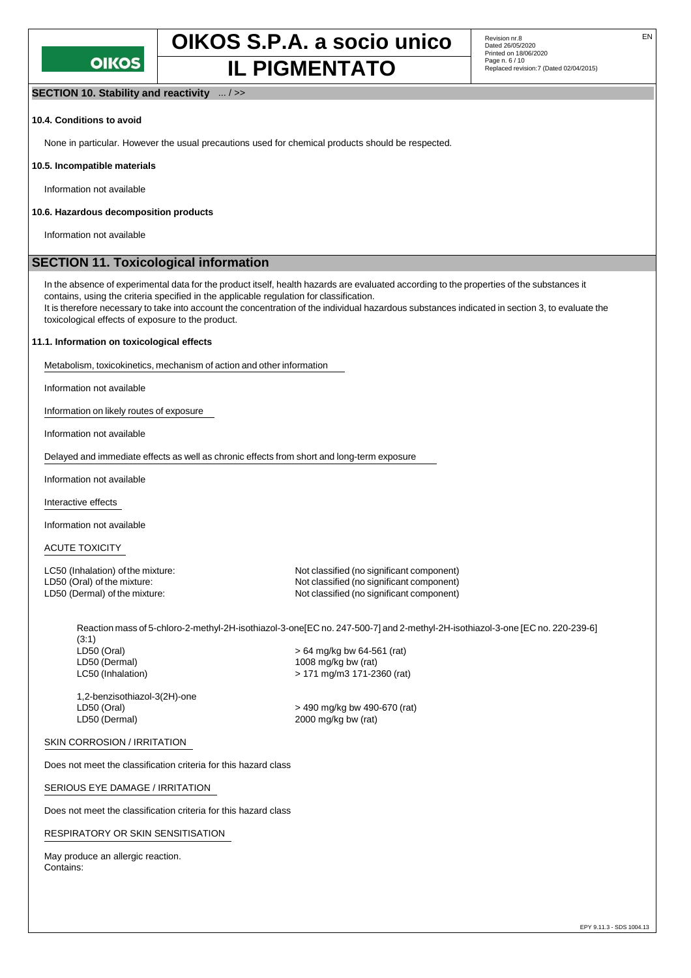

**IL PIGMENTATO** 

#### **SECTION 10. Stability and reactivity** ... / >>

#### **10.4. Conditions to avoid**

None in particular. However the usual precautions used for chemical products should be respected.

#### **10.5. Incompatible materials**

Information not available

#### **10.6. Hazardous decomposition products**

Information not available

#### **SECTION 11. Toxicological information**

In the absence of experimental data for the product itself, health hazards are evaluated according to the properties of the substances it contains, using the criteria specified in the applicable regulation for classification.

It is therefore necessary to take into account the concentration of the individual hazardous substances indicated in section 3, to evaluate the toxicological effects of exposure to the product.

#### **11.1. Information on toxicological effects**

Metabolism, toxicokinetics, mechanism of action and other information

Information not available

Information on likely routes of exposure

Information not available

Delayed and immediate effects as well as chronic effects from short and long-term exposure

Information not available

Interactive effects

Information not available

ACUTE TOXICITY

LC50 (Inhalation) of the mixture: Not classified (no significant component) LD50 (Oral) of the mixture:  $\Box$ <br>
LD50 (Dermal) of the mixture: Not classified (no significant component) Not classified (no significant component)

Reaction mass of 5-chloro-2-methyl-2H-isothiazol-3-one[EC no. 247-500-7] and 2-methyl-2H-isothiazol-3-one [EC no. 220-239-6] (3:1)

LD50 (Oral)  $> 64$  mg/kg bw 64-561 (rat)<br>LD50 (Dermal)  $\sim$  1008 mg/kg bw (rat) 1008 mg/kg bw (rat) LC50 (Inhalation) > 171 mg/m3 171-2360 (rat)

1,2-benzisothiazol-3(2H)-one LD50 (Oral) > 490 mg/kg bw 490-670 (rat) LD50 (Dermal) 2000 mg/kg bw (rat)

#### SKIN CORROSION / IRRITATION

Does not meet the classification criteria for this hazard class

#### SERIOUS EYE DAMAGE / IRRITATION

Does not meet the classification criteria for this hazard class

#### RESPIRATORY OR SKIN SENSITISATION

May produce an allergic reaction. Contains: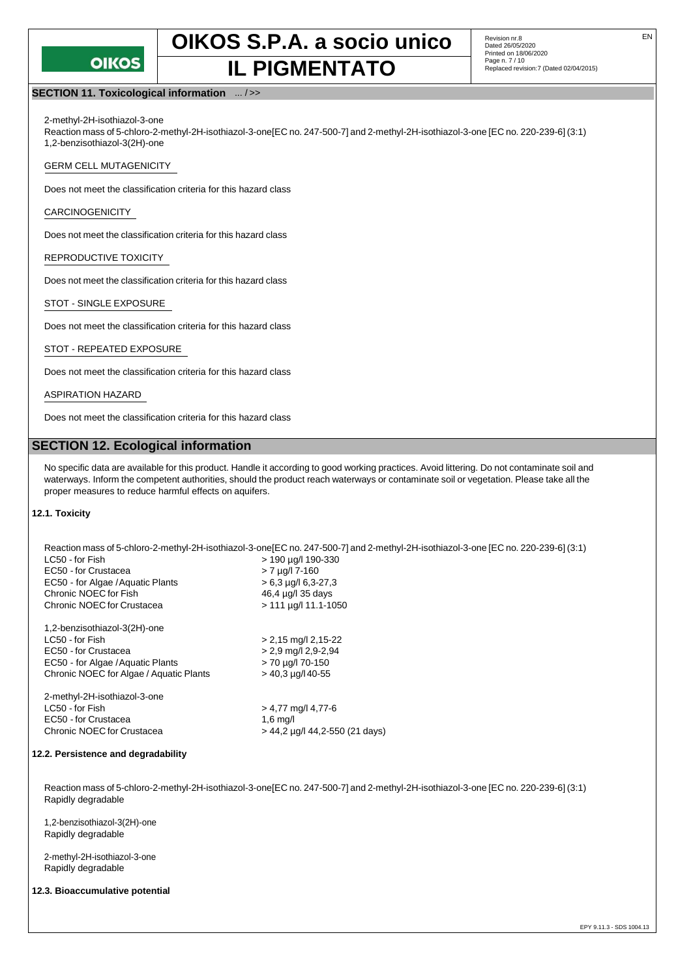

## **IL PIGMENTATO** Replaced revision:7 (Dated 02/04/2015)

#### **SECTION 11. Toxicological information** ... / >>

2-methyl-2H-isothiazol-3-one

Reaction mass of 5-chloro-2-methyl-2H-isothiazol-3-one[EC no. 247-500-7] and 2-methyl-2H-isothiazol-3-one [EC no. 220-239-6] (3:1) 1,2-benzisothiazol-3(2H)-one

#### GERM CELL MUTAGENICITY

Does not meet the classification criteria for this hazard class

#### CARCINOGENICITY

Does not meet the classification criteria for this hazard class

#### REPRODUCTIVE TOXICITY

Does not meet the classification criteria for this hazard class

#### STOT - SINGLE EXPOSURE

Does not meet the classification criteria for this hazard class

#### STOT - REPEATED EXPOSURE

Does not meet the classification criteria for this hazard class

#### ASPIRATION HAZARD

Does not meet the classification criteria for this hazard class

#### **SECTION 12. Ecological information**

No specific data are available for this product. Handle it according to good working practices. Avoid littering. Do not contaminate soil and waterways. Inform the competent authorities, should the product reach waterways or contaminate soil or vegetation. Please take all the proper measures to reduce harmful effects on aquifers.

#### **12.1. Toxicity**

|                                         | Reaction mass of 5-chloro-2-methyl-2H-isothiazol-3-one[EC no. 247-500-7] and 2-methyl-2H-isothiazol-3-one [EC no. 220-239-6] (3:1) |
|-----------------------------------------|------------------------------------------------------------------------------------------------------------------------------------|
| LC50 - for Fish                         | > 190 µg/l 190-330                                                                                                                 |
| EC50 - for Crustacea                    | $> 7$ µg/l 7-160                                                                                                                   |
| EC50 - for Algae / Aguatic Plants       | $> 6.3$ µg/l 6.3-27.3                                                                                                              |
| Chronic NOEC for Fish                   | 46.4 µg/l 35 days                                                                                                                  |
| Chronic NOEC for Crustacea              | $> 111 \mu q/l 11.1 - 1050$                                                                                                        |
| 1,2-benzisothiazol-3(2H)-one            |                                                                                                                                    |
| LC50 - for Fish                         | $> 2,15$ mg/l 2,15-22                                                                                                              |
| EC50 - for Crustacea                    | $> 2.9$ mg/l 2.9-2.94                                                                                                              |
| EC50 - for Algae / Aguatic Plants       | > 70 µg/l 70-150                                                                                                                   |
| Chronic NOEC for Algae / Aquatic Plants | $>$ 40.3 $\mu$ g/l 40-55                                                                                                           |
| 2-methyl-2H-isothiazol-3-one            |                                                                                                                                    |
| LC50 - for Fish                         | $> 4.77$ mg/l 4.77-6                                                                                                               |
| EC50 - for Crustacea                    | $1,6 \text{ mq/l}$                                                                                                                 |
| Chronic NOEC for Crustacea              | $> 44.2$ µg/l 44.2-550 (21 days)                                                                                                   |
| 2.2. Persistence and degradability      |                                                                                                                                    |
|                                         |                                                                                                                                    |

Reaction mass of 5-chloro-2-methyl-2H-isothiazol-3-one[EC no. 247-500-7] and 2-methyl-2H-isothiazol-3-one [EC no. 220-239-6] (3:1) Rapidly degradable

1,2-benzisothiazol-3(2H)-one Rapidly degradable

2-methyl-2H-isothiazol-3-one Rapidly degradable

#### **12.3. Bioaccumulative potential**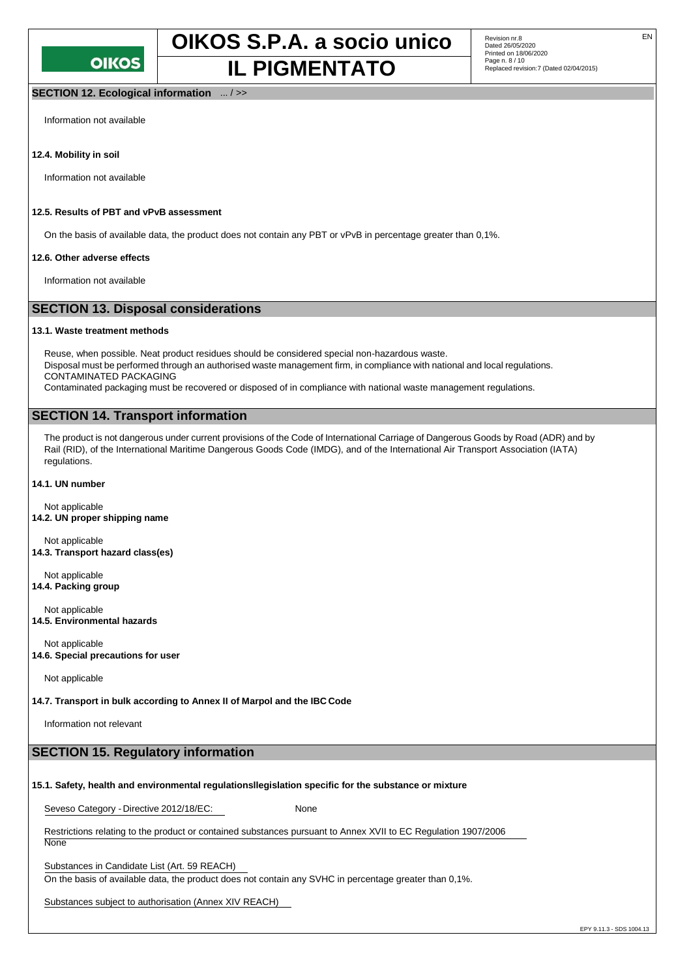#### **SECTION 12. Ecological information** ... / >>

Information not available

#### **12.4. Mobility in soil**

Information not available

#### **12.5. Results of PBT and vPvB assessment**

On the basis of available data, the product does not contain any PBT or vPvB in percentage greater than 0,1%.

#### **12.6. Other adverse effects**

Information not available

#### **SECTION 13. Disposal considerations**

#### **13.1. Waste treatment methods**

Reuse, when possible. Neat product residues should be considered special non-hazardous waste. Disposal must be performed through an authorised waste management firm, in compliance with national and local regulations. CONTAMINATED PACKAGING

Contaminated packaging must be recovered or disposed of in compliance with national waste management regulations.

#### **SECTION 14. Transport information**

The product is not dangerous under current provisions of the Code of International Carriage of Dangerous Goods by Road (ADR) and by Rail (RID), of the International Maritime Dangerous Goods Code (IMDG), and of the International Air Transport Association (IATA) regulations.

#### **14.1. UN number**

Not applicable **14.2. UN proper shipping name**

Not applicable **14.3. Transport hazard class(es)**

Not applicable **14.4. Packing group**

Not applicable **14.5. Environmental hazards**

Not applicable **14.6. Special precautions for user**

Not applicable

**14.7. Transport in bulk according to Annex II of Marpol and the IBC Code**

Information not relevant

#### **SECTION 15. Regulatory information**

#### **15.1. Safety, health and environmental regulationsllegislation specific for the substance or mixture**

Seveso Category - Directive 2012/18/EC: None

Restrictions relating to the product or contained substances pursuant to Annex XVII to EC Regulation 1907/2006

**None** 

Substances in Candidate List (Art. 59 REACH)

On the basis of available data, the product does not contain any SVHC in percentage greater than 0,1%.

Substances subject to authorisation (Annex XIV REACH)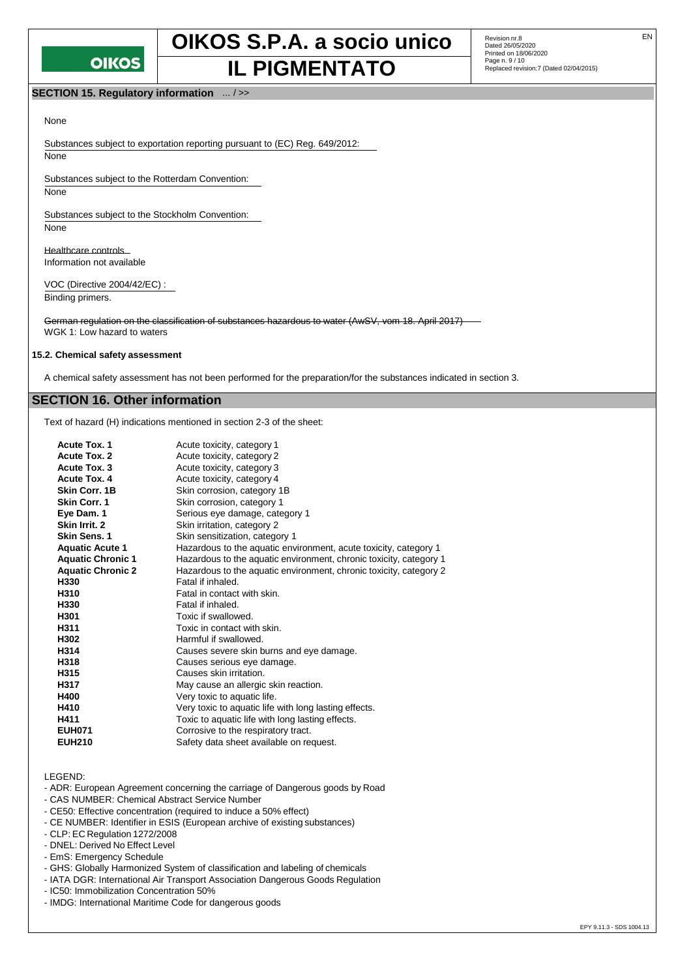

## **OIKOS S.P.A. a socio unico** Revision nr.8 **IL PIGMENTATO** Page n. 9/10 Page n. 9/10

Revision nr.8<br>Dated 26/05/2020 Printed on 18/06/2020 Page n. 9 / 10

#### **SECTION 15. Regulatory information** ... / >>

#### None

Substances subject to exportation reporting pursuant to (EC) Reg. 649/2012: None

Substances subject to the Rotterdam Convention:

None

Substances subject to the Stockholm Convention: None

Healthcare controls Information not available

VOC (Directive 2004/42/EC) : Binding primers.

German regulation on the classification of substances hazardous to water (AwSV, vom 18. April 2017) WGK 1: Low hazard to waters

#### **15.2. Chemical safety assessment**

A chemical safety assessment has not been performed for the preparation/for the substances indicated in section 3.

#### **SECTION 16. Other information**

Text of hazard (H) indications mentioned in section 2-3 of the sheet:

| <b>Acute Tox. 1</b>      | Acute toxicity, category 1                                         |
|--------------------------|--------------------------------------------------------------------|
| <b>Acute Tox. 2</b>      | Acute toxicity, category 2                                         |
| Acute Tox. 3             | Acute toxicity, category 3                                         |
| Acute Tox. 4             | Acute toxicity, category 4                                         |
| Skin Corr. 1B            | Skin corrosion, category 1B                                        |
| <b>Skin Corr. 1</b>      | Skin corrosion, category 1                                         |
| Eye Dam. 1               | Serious eye damage, category 1                                     |
| Skin Irrit. 2            | Skin irritation, category 2                                        |
| <b>Skin Sens. 1</b>      | Skin sensitization, category 1                                     |
| <b>Aquatic Acute 1</b>   | Hazardous to the aquatic environment, acute toxicity, category 1   |
| <b>Aquatic Chronic 1</b> | Hazardous to the aquatic environment, chronic toxicity, category 1 |
| <b>Aquatic Chronic 2</b> | Hazardous to the aquatic environment, chronic toxicity, category 2 |
| H330                     | Fatal if inhaled.                                                  |
| H310                     | Fatal in contact with skin.                                        |
| H330                     | Fatal if inhaled.                                                  |
| H301                     | Toxic if swallowed.                                                |
| H311                     | Toxic in contact with skin.                                        |
| H302                     | Harmful if swallowed.                                              |
| H314                     | Causes severe skin burns and eye damage.                           |
| H318                     | Causes serious eye damage.                                         |
| H315                     | Causes skin irritation.                                            |
| H317                     | May cause an allergic skin reaction.                               |
| H400                     | Very toxic to aquatic life.                                        |
| H410                     | Very toxic to aquatic life with long lasting effects.              |
| H411                     | Toxic to aquatic life with long lasting effects.                   |
| <b>EUH071</b>            | Corrosive to the respiratory tract.                                |
| <b>EUH210</b>            | Safety data sheet available on request.                            |

LEGEND:

- ADR: European Agreement concerning the carriage of Dangerous goods by Road
- CAS NUMBER: Chemical Abstract Service Number
- CE50: Effective concentration (required to induce a 50% effect)
- CE NUMBER: Identifier in ESIS (European archive of existing substances)
- CLP: EC Regulation 1272/2008
- DNEL: Derived No Effect Level
- EmS: Emergency Schedule
- GHS: Globally Harmonized System of classification and labeling of chemicals
- IATA DGR: International Air Transport Association Dangerous Goods Regulation
- IC50: Immobilization Concentration 50%
- IMDG: International Maritime Code for dangerous goods